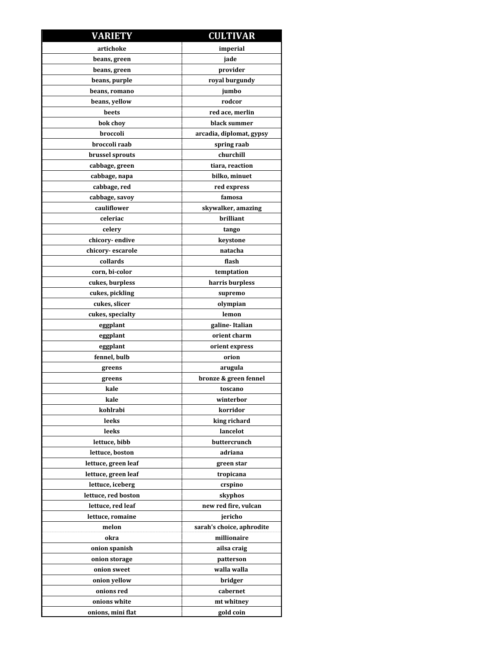| <b>VARIETY</b>      | <b>CULTIVAR</b>           |
|---------------------|---------------------------|
| artichoke           | imperial                  |
| beans, green        | jade                      |
| beans, green        | provider                  |
| beans, purple       | royal burgundy            |
| beans, romano       | jumbo                     |
| beans, yellow       | rodcor                    |
| beets               | red ace, merlin           |
| bok chov            | black summer              |
| broccoli            | arcadia, diplomat, gypsy  |
| broccoli raab       | spring raab               |
| brussel sprouts     | churchill                 |
| cabbage, green      | tiara, reaction           |
| cabbage, napa       | bilko, minuet             |
| cabbage, red        | red express               |
| cabbage, savoy      | famosa                    |
| cauliflower         | skywalker, amazing        |
| celeriac            | brilliant                 |
| celery              | tango                     |
| chicory-endive      | keystone                  |
| chicory-escarole    | natacha                   |
| collards            | flash                     |
| corn, bi-color      | temptation                |
| cukes, burpless     | harris burpless           |
| cukes, pickling     | supremo                   |
| cukes, slicer       | olympian                  |
| cukes, specialty    | lemon                     |
| eggplant            | galine-Italian            |
| eggplant            | orient charm              |
| eggplant            | orient express            |
| fennel, bulb        | orion                     |
| greens              | arugula                   |
| greens              | bronze & green fennel     |
| kale                | toscano                   |
| kale                | winterbor                 |
| kohlrabi            | korridor                  |
| leeks               | king richard              |
| leeks               | lancelot                  |
| lettuce, bibb       | buttercrunch              |
| lettuce, boston     | adriana                   |
| lettuce, green leaf | green star                |
| lettuce, green leaf | tropicana                 |
| lettuce, iceberg    | crspino                   |
| lettuce, red boston | skyphos                   |
| lettuce, red leaf   | new red fire, vulcan      |
| lettuce, romaine    | jericho                   |
| melon               | sarah's choice, aphrodite |
| okra                | millionaire               |
| onion spanish       | ailsa craig               |
| onion storage       | patterson                 |
| onion sweet         | walla walla               |
| onion yellow        | bridger                   |
| onions red          | cabernet                  |
| onions white        | mt whitney                |
| onions, mini flat   | gold coin                 |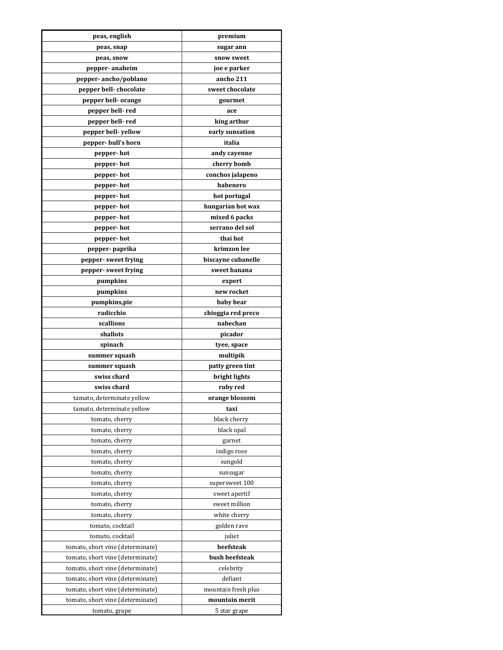| peas, english                    | premium             |
|----------------------------------|---------------------|
| peas, snap                       | sugar ann           |
| peas, snow                       | snow sweet          |
| pepper-anaheim                   | joe e parker        |
| pepper-ancho/poblano             | ancho 211           |
| pepper bell-chocolate            | sweet chocolate     |
| pepper bell- orange              | gourmet             |
| pepper bell-red                  | ace                 |
| pepper bell-red                  | king arthur         |
| pepper bell-yellow               | early sunsation     |
| pepper-bull's horn               | italia              |
| pepper- hot                      | andy cayenne        |
| pepper-hot                       | cherry bomb         |
| pepper- hot                      | conchos jalapeno    |
| pepper- hot                      | habenero            |
| pepper-hot                       | hot portugal        |
| pepper-hot                       | hungarian hot wax   |
| pepper-hot                       | mixed 6 packs       |
| pepper-hot                       | serrano del sol     |
| pepper- hot                      | thai hot            |
| pepper-paprika                   | krimzon lee         |
| pepper- sweet frying             | biscayne cubanelle  |
| pepper- sweet frying             | sweet banana        |
| pumpkins                         | expert              |
| pumpkins                         | new rocket          |
| pumpkins,pie                     | baby bear           |
| radicchio                        | chioggia red preco  |
| scallions                        | nabechan            |
| shallots                         | picador             |
| spinach                          | tyee, space         |
| summer squash                    | multipik            |
| summer squash                    | patty green tint    |
| swiss chard                      | bright lights       |
| swiss chard                      | ruby red            |
| tamato, determinate yellow       | orange blossom      |
| tamato, determinate yellow       | taxi                |
| tomato, cherry                   | black cherry        |
| tomato, cherry                   | black opal          |
| tomato, cherry                   | garnet              |
| tomato, cherry                   | indigo rose         |
| tomato, cherry                   | sungold             |
| tomato, cherry                   | sunsugar            |
| tomato, cherry                   | supersweet 100      |
| tomato, cherry                   | sweet apertif       |
| tomato, cherry                   | sweet million       |
| tomato, cherry                   | white cherry        |
| tomato, cocktail                 | golden rave         |
| tomato, cocktail                 | juliet              |
| tomato, short vine (determinate) | beefsteak           |
| tomato, short vine (determinate) | bush beefsteak      |
| tomato, short vine (determinate) | celebrity           |
| tomato, short vine (determinate) | defiant             |
| tomato, short vine (determinate) | mountain fresh plus |
| tomato, short vine (determinate) | mountain merit      |
|                                  | 5 star grape        |